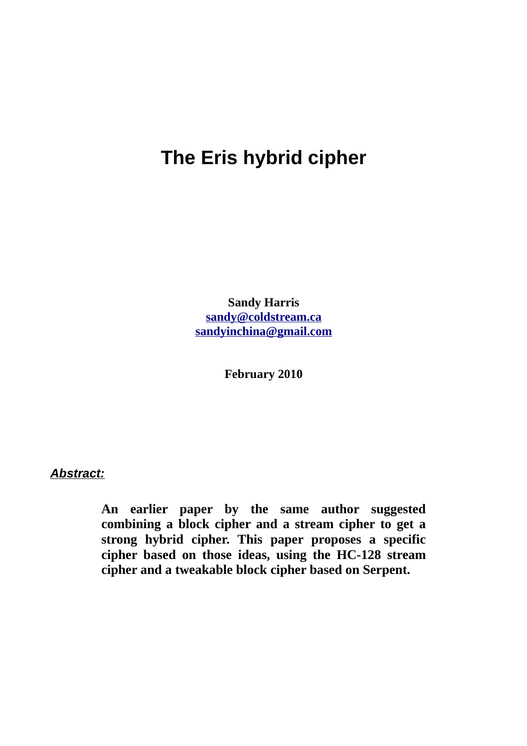# **The Eris hybrid cipher**

**Sandy Harris [sandy@coldstream.ca](mailto:sandy@coldstream.ca) [sandyinchina@gmail.com](mailto:sandyinchina@gmail.com)**

**February 2010**

*Abstract:*

**An earlier paper by the same author suggested combining a block cipher and a stream cipher to get a strong hybrid cipher. This paper proposes a specific cipher based on those ideas, using the HC-128 stream cipher and a tweakable block cipher based on Serpent.**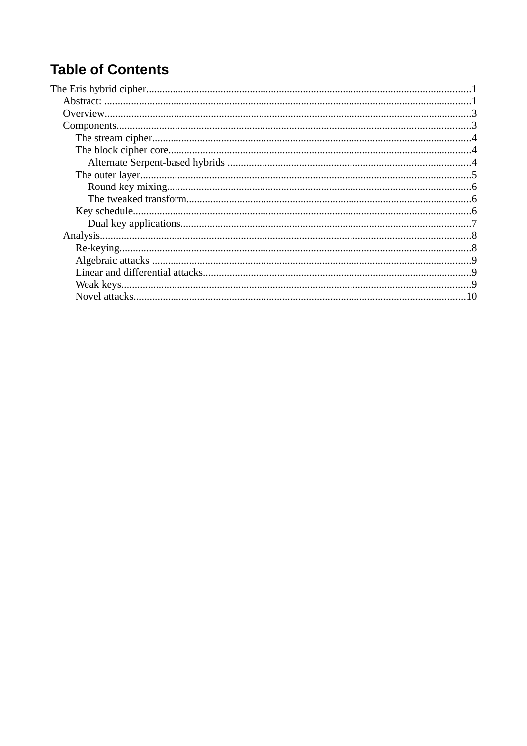# **Table of Contents**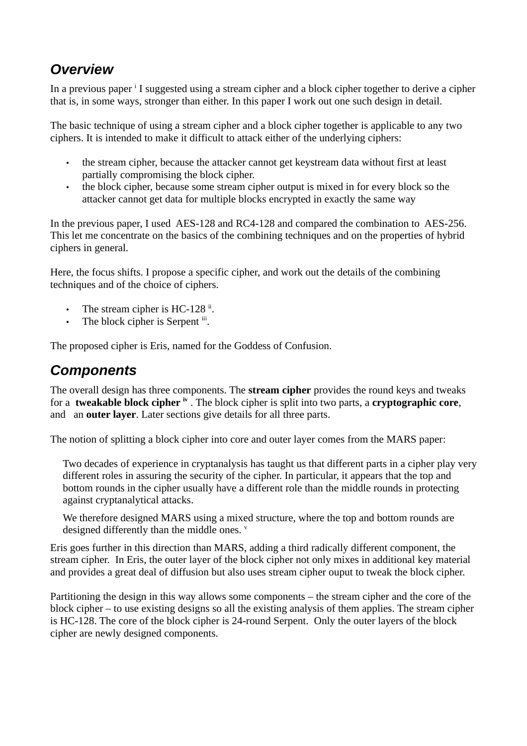## *Overview*

In a prev[i](#page-10-0)ous paper <sup>i</sup> I suggested using a stream cipher and a block cipher together to derive a cipher that is, in some ways, stronger than either. In this paper I work out one such design in detail.

The basic technique of using a stream cipher and a block cipher together is applicable to any two ciphers. It is intended to make it difficult to attack either of the underlying ciphers:

- the stream cipher, because the attacker cannot get keystream data without first at least partially compromising the block cipher.
- the block cipher, because some stream cipher output is mixed in for every block so the attacker cannot get data for multiple blocks encrypted in exactly the same way

In the previous paper, I used AES-128 and RC4-128 and compared the combination to AES-256. This let me concentrate on the basics of the combining techniques and on the properties of hybrid ciphers in general.

Here, the focus shifts. I propose a specific cipher, and work out the details of the combining techniques and of the choice of ciphers.

- The stream cipher is HC-128 $^{\text{ii}}$  $^{\text{ii}}$  $^{\text{ii}}$ .
- The block cipher is Serpent [iii](#page-10-2).

The proposed cipher is Eris, named for the Goddess of Confusion.

## *Components*

The overall design has three components. The **stream cipher** provides the round keys and tweaks for a **tweakable block cipher [iv](#page-10-3)** . The block cipher is split into two parts, a **cryptographic core**, and an **outer layer**. Later sections give details for all three parts.

The notion of splitting a block cipher into core and outer layer comes from the MARS paper:

Two decades of experience in cryptanalysis has taught us that different parts in a cipher play very different roles in assuring the security of the cipher. In particular, it appears that the top and bottom rounds in the cipher usually have a different role than the middle rounds in protecting against cryptanalytical attacks.

We therefore designed MARS using a mixed structure, where the top and bottom rounds are designed differently than the middle ones. [v](#page-10-4)

Eris goes further in this direction than MARS, adding a third radically different component, the stream cipher. In Eris, the outer layer of the block cipher not only mixes in additional key material and provides a great deal of diffusion but also uses stream cipher ouput to tweak the block cipher.

Partitioning the design in this way allows some components – the stream cipher and the core of the block cipher – to use existing designs so all the existing analysis of them applies. The stream cipher is HC-128. The core of the block cipher is 24-round Serpent. Only the outer layers of the block cipher are newly designed components.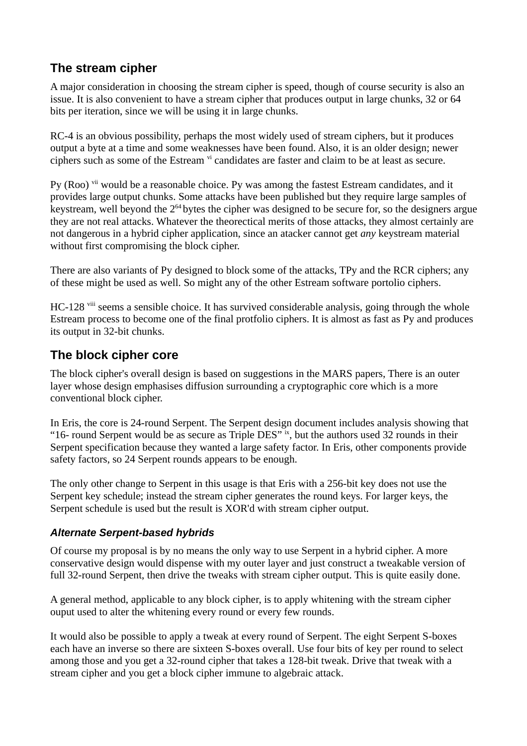## **The stream cipher**

A major consideration in choosing the stream cipher is speed, though of course security is also an issue. It is also convenient to have a stream cipher that produces output in large chunks, 32 or 64 bits per iteration, since we will be using it in large chunks.

RC-4 is an obvious possibility, perhaps the most widely used of stream ciphers, but it produces output a byte at a time and some weaknesses have been found. Also, it is an older design; newer ciphers such as some of the Estream  $\frac{v_i}{v_i}$  candidates are faster and claim to be at least as secure.

Py (Roo)<sup>[vii](#page-10-6)</sup> would be a reasonable choice. Py was among the fastest Estream candidates, and it provides large output chunks. Some attacks have been published but they require large samples of keystream, well beyond the  $2^{64}$  bytes the cipher was designed to be secure for, so the designers argue they are not real attacks. Whatever the theorectical merits of those attacks, they almost certainly are not dangerous in a hybrid cipher application, since an atacker cannot get *any* keystream material without first compromising the block cipher.

There are also variants of Py designed to block some of the attacks, TPy and the RCR ciphers; any of these might be used as well. So might any of the other Estream software portolio ciphers.

HC-128 <sup>[viii](#page-10-7)</sup> seems a sensible choice. It has survived considerable analysis, going through the whole Estream process to become one of the final protfolio ciphers. It is almost as fast as Py and produces its output in 32-bit chunks.

### **The block cipher core**

The block cipher's overall design is based on suggestions in the MARS papers, There is an outer layer whose design emphasises diffusion surrounding a cryptographic core which is a more conventional block cipher.

In Eris, the core is 24-round Serpent. The Serpent design document includes analysis showing that "16- round Serpent would be as secure as Triple DES" [ix](#page-10-8), but the authors used 32 rounds in their Serpent specification because they wanted a large safety factor. In Eris, other components provide safety factors, so 24 Serpent rounds appears to be enough.

The only other change to Serpent in this usage is that Eris with a 256-bit key does not use the Serpent key schedule; instead the stream cipher generates the round keys. For larger keys, the Serpent schedule is used but the result is XOR'd with stream cipher output.

#### *Alternate Serpent-based hybrids*

Of course my proposal is by no means the only way to use Serpent in a hybrid cipher. A more conservative design would dispense with my outer layer and just construct a tweakable version of full 32-round Serpent, then drive the tweaks with stream cipher output. This is quite easily done.

A general method, applicable to any block cipher, is to apply whitening with the stream cipher ouput used to alter the whitening every round or every few rounds.

It would also be possible to apply a tweak at every round of Serpent. The eight Serpent S-boxes each have an inverse so there are sixteen S-boxes overall. Use four bits of key per round to select among those and you get a 32-round cipher that takes a 128-bit tweak. Drive that tweak with a stream cipher and you get a block cipher immune to algebraic attack.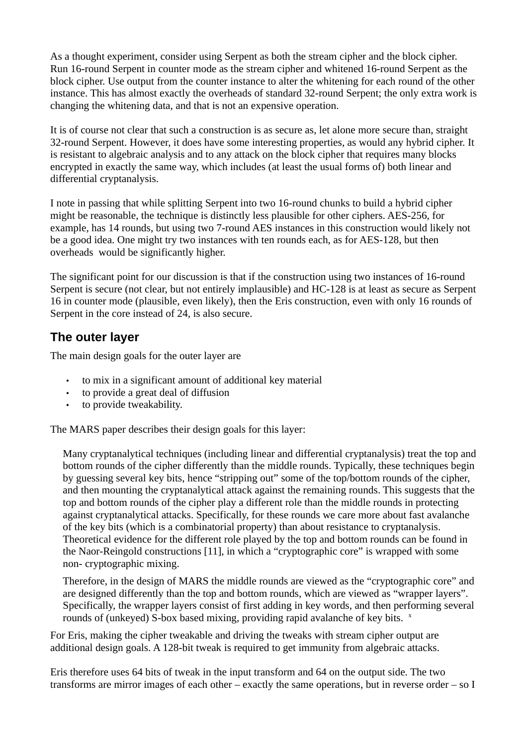As a thought experiment, consider using Serpent as both the stream cipher and the block cipher. Run 16-round Serpent in counter mode as the stream cipher and whitened 16-round Serpent as the block cipher. Use output from the counter instance to alter the whitening for each round of the other instance. This has almost exactly the overheads of standard 32-round Serpent; the only extra work is changing the whitening data, and that is not an expensive operation.

It is of course not clear that such a construction is as secure as, let alone more secure than, straight 32-round Serpent. However, it does have some interesting properties, as would any hybrid cipher. It is resistant to algebraic analysis and to any attack on the block cipher that requires many blocks encrypted in exactly the same way, which includes (at least the usual forms of) both linear and differential cryptanalysis.

I note in passing that while splitting Serpent into two 16-round chunks to build a hybrid cipher might be reasonable, the technique is distinctly less plausible for other ciphers. AES-256, for example, has 14 rounds, but using two 7-round AES instances in this construction would likely not be a good idea. One might try two instances with ten rounds each, as for AES-128, but then overheads would be significantly higher.

The significant point for our discussion is that if the construction using two instances of 16-round Serpent is secure (not clear, but not entirely implausible) and HC-128 is at least as secure as Serpent 16 in counter mode (plausible, even likely), then the Eris construction, even with only 16 rounds of Serpent in the core instead of 24, is also secure.

## **The outer layer**

The main design goals for the outer layer are

- to mix in a significant amount of additional key material
- to provide a great deal of diffusion
- to provide tweakability.

The MARS paper describes their design goals for this layer:

Many cryptanalytical techniques (including linear and differential cryptanalysis) treat the top and bottom rounds of the cipher differently than the middle rounds. Typically, these techniques begin by guessing several key bits, hence "stripping out" some of the top/bottom rounds of the cipher, and then mounting the cryptanalytical attack against the remaining rounds. This suggests that the top and bottom rounds of the cipher play a different role than the middle rounds in protecting against cryptanalytical attacks. Specifically, for these rounds we care more about fast avalanche of the key bits (which is a combinatorial property) than about resistance to cryptanalysis. Theoretical evidence for the different role played by the top and bottom rounds can be found in the Naor-Reingold constructions [11], in which a "cryptographic core" is wrapped with some non- cryptographic mixing.

Therefore, in the design of MARS the middle rounds are viewed as the "cryptographic core" and are designed differently than the top and bottom rounds, which are viewed as "wrapper layers". Specifically, the wrapper layers consist of first adding in key words, and then performing several rounds of (unkeyed) S-bo[x](#page-10-9) based mixing, providing rapid avalanche of key bits.  $\frac{x}{x}$ 

For Eris, making the cipher tweakable and driving the tweaks with stream cipher output are additional design goals. A 128-bit tweak is required to get immunity from algebraic attacks.

Eris therefore uses 64 bits of tweak in the input transform and 64 on the output side. The two transforms are mirror images of each other – exactly the same operations, but in reverse order – so I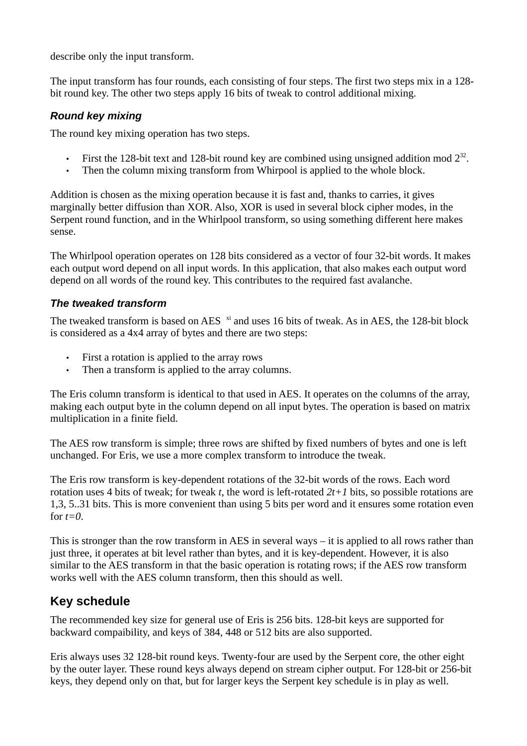describe only the input transform.

The input transform has four rounds, each consisting of four steps. The first two steps mix in a 128 bit round key. The other two steps apply 16 bits of tweak to control additional mixing.

#### *Round key mixing*

The round key mixing operation has two steps.

- First the 128-bit text and 128-bit round key are combined using unsigned addition mod  $2^{32}$ .
- Then the column mixing transform from Whirpool is applied to the whole block.

Addition is chosen as the mixing operation because it is fast and, thanks to carries, it gives marginally better diffusion than XOR. Also, XOR is used in several block cipher modes, in the Serpent round function, and in the Whirlpool transform, so using something different here makes sense.

The Whirlpool operation operates on 128 bits considered as a vector of four 32-bit words. It makes each output word depend on all input words. In this application, that also makes each output word depend on all words of the round key. This contributes to the required fast avalanche.

#### *The tweaked transform*

The tweaked transform is based on AES  $\frac{x_i}{y}$  and uses 16 bits of tweak. As in AES, the 128-bit block is considered as a 4x4 array of bytes and there are two steps:

- First a rotation is applied to the array rows
- Then a transform is applied to the array columns.

The Eris column transform is identical to that used in AES. It operates on the columns of the array, making each output byte in the column depend on all input bytes. The operation is based on matrix multiplication in a finite field.

The AES row transform is simple; three rows are shifted by fixed numbers of bytes and one is left unchanged. For Eris, we use a more complex transform to introduce the tweak.

The Eris row transform is key-dependent rotations of the 32-bit words of the rows. Each word rotation uses 4 bits of tweak; for tweak *t*, the word is left-rotated *2t+1* bits, so possible rotations are 1,3, 5..31 bits. This is more convenient than using 5 bits per word and it ensures some rotation even for  $t=0$ .

This is stronger than the row transform in AES in several ways  $-$  it is applied to all rows rather than just three, it operates at bit level rather than bytes, and it is key-dependent. However, it is also similar to the AES transform in that the basic operation is rotating rows; if the AES row transform works well with the AES column transform, then this should as well.

## **Key schedule**

The recommended key size for general use of Eris is 256 bits. 128-bit keys are supported for backward compaibility, and keys of 384, 448 or 512 bits are also supported.

Eris always uses 32 128-bit round keys. Twenty-four are used by the Serpent core, the other eight by the outer layer. These round keys always depend on stream cipher output. For 128-bit or 256-bit keys, they depend only on that, but for larger keys the Serpent key schedule is in play as well.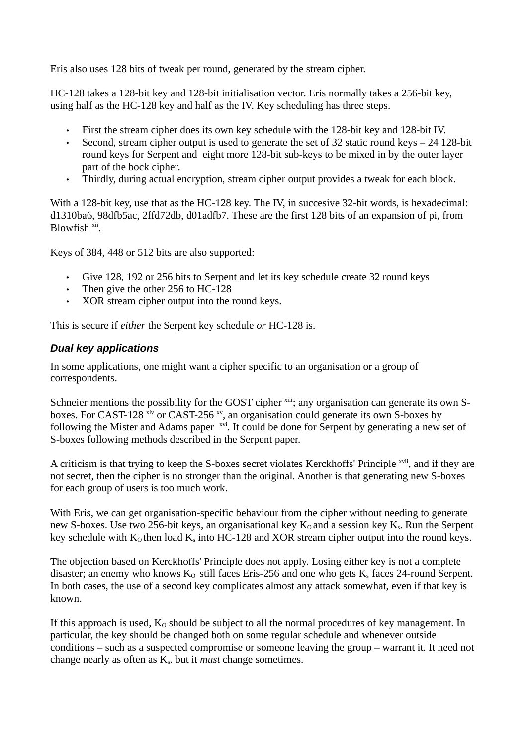Eris also uses 128 bits of tweak per round, generated by the stream cipher.

HC-128 takes a 128-bit key and 128-bit initialisation vector. Eris normally takes a 256-bit key, using half as the HC-128 key and half as the IV. Key scheduling has three steps.

- First the stream cipher does its own key schedule with the 128-bit key and 128-bit IV.
- Second, stream cipher output is used to generate the set of 32 static round keys 24 128-bit round keys for Serpent and eight more 128-bit sub-keys to be mixed in by the outer layer part of the bock cipher.
- Thirdly, during actual encryption, stream cipher output provides a tweak for each block.

With a 128-bit key, use that as the HC-128 key. The IV, in succesive 32-bit words, is hexadecimal: d1310ba6, 98dfb5ac, 2ffd72db, d01adfb7. These are the first 128 bits of an expansion of pi, from Blowfish<sup>[xii](#page-10-11)</sup>.

Keys of 384, 448 or 512 bits are also supported:

- Give 128, 192 or 256 bits to Serpent and let its key schedule create 32 round keys
- Then give the other 256 to HC-128
- XOR stream cipher output into the round keys.

This is secure if *either* the Serpent key schedule *or* HC-128 is.

#### *Dual key applications*

In some applications, one might want a cipher specific to an organisation or a group of correspondents.

Schneier mentions the possibility for the GOST cipher <sup>[xiii](#page-10-12)</sup>; any organisation can generate its own Sboxes. For CAST-128  $\frac{x}{x}$  or CAST-256  $\frac{x}{y}$ , an organisation could generate its own S-boxes by following the Mister and Adams paper <sup>[xvi](#page-10-15)</sup>. It could be done for Serpent by generating a new set of S-boxes following methods described in the Serpent paper.

A criticism is that trying to keep the S-boxes secret violates Kerckhoffs' Principle <sup>[xvii](#page-10-16)</sup>, and if they are not secret, then the cipher is no stronger than the original. Another is that generating new S-boxes for each group of users is too much work.

With Eris, we can get organisation-specific behaviour from the cipher without needing to generate new S-boxes. Use two 256-bit keys, an organisational key  $K_0$  and a session key  $K_s$ . Run the Serpent key schedule with  $K_0$  then load  $K_s$  into HC-128 and XOR stream cipher output into the round keys.

The objection based on Kerckhoffs' Principle does not apply. Losing either key is not a complete disaster; an enemy who knows  $K_0$  still faces Eris-256 and one who gets  $K_s$  faces 24-round Serpent. In both cases, the use of a second key complicates almost any attack somewhat, even if that key is known.

If this approach is used,  $K_0$  should be subject to all the normal procedures of key management. In particular, the key should be changed both on some regular schedule and whenever outside conditions – such as a suspected compromise or someone leaving the group – warrant it. It need not change nearly as often as Ks. but it *must* change sometimes.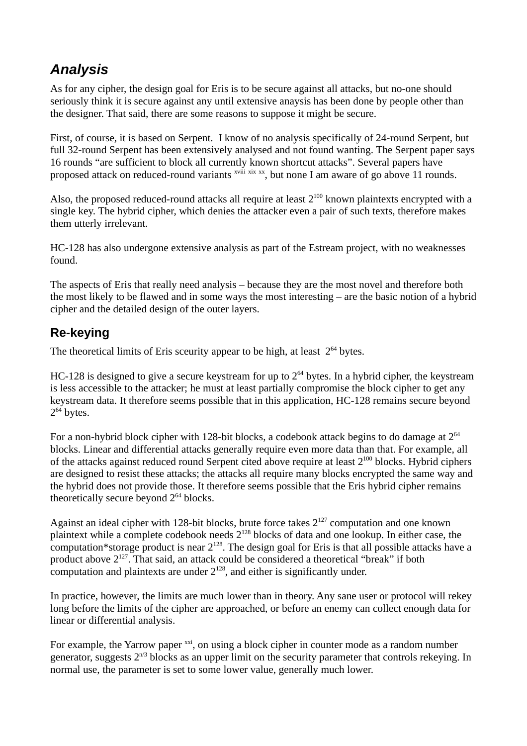## *Analysis*

As for any cipher, the design goal for Eris is to be secure against all attacks, but no-one should seriously think it is secure against any until extensive anaysis has been done by people other than the designer. That said, there are some reasons to suppose it might be secure.

First, of course, it is based on Serpent. I know of no analysis specifically of 24-round Serpent, but full 32-round Serpent has been extensively analysed and not found wanting. The Serpent paper says 16 rounds "are sufficient to block all currently known shortcut attacks". Several papers have proposed attack on reduced-round variants <sup>[xviii](#page-10-17)</sup> [xix](#page-10-18) [xx](#page-10-19), but none I am aware of go above 11 rounds.

Also, the proposed reduced-round attacks all require at least  $2^{100}$  known plaintexts encrypted with a single key. The hybrid cipher, which denies the attacker even a pair of such texts, therefore makes them utterly irrelevant.

HC-128 has also undergone extensive analysis as part of the Estream project, with no weaknesses found.

The aspects of Eris that really need analysis – because they are the most novel and therefore both the most likely to be flawed and in some ways the most interesting – are the basic notion of a hybrid cipher and the detailed design of the outer layers.

## **Re-keying**

The theoretical limits of Eris sceurity appear to be high, at least  $2^{64}$  bytes.

HC-128 is designed to give a secure keystream for up to  $2^{64}$  bytes. In a hybrid cipher, the keystream is less accessible to the attacker; he must at least partially compromise the block cipher to get any keystream data. It therefore seems possible that in this application, HC-128 remains secure beyond  $2^{64}$  bytes.

For a non-hybrid block cipher with 128-bit blocks, a codebook attack begins to do damage at  $2^{64}$ blocks. Linear and differential attacks generally require even more data than that. For example, all of the attacks against reduced round Serpent cited above require at least 2<sup>100</sup> blocks. Hybrid ciphers are designed to resist these attacks; the attacks all require many blocks encrypted the same way and the hybrid does not provide those. It therefore seems possible that the Eris hybrid cipher remains theoretically secure beyond  $2^{64}$  blocks.

Against an ideal cipher with 128-bit blocks, brute force takes  $2^{127}$  computation and one known plaintext while a complete codebook needs  $2^{128}$  blocks of data and one lookup. In either case, the computation\*storage product is near  $2^{128}$ . The design goal for Eris is that all possible attacks have a product above 2<sup>127</sup>. That said, an attack could be considered a theoretical "break" if both computation and plaintexts are under  $2^{128}$ , and either is significantly under.

In practice, however, the limits are much lower than in theory. Any sane user or protocol will rekey long before the limits of the cipher are approached, or before an enemy can collect enough data for linear or differential analysis.

For example, the Yarrow paper  $\frac{xxi}{x}$  $\frac{xxi}{x}$  $\frac{xxi}{x}$ , on using a block cipher in counter mode as a random number generator, suggests  $2^{n/3}$  blocks as an upper limit on the security parameter that controls rekeying. In normal use, the parameter is set to some lower value, generally much lower.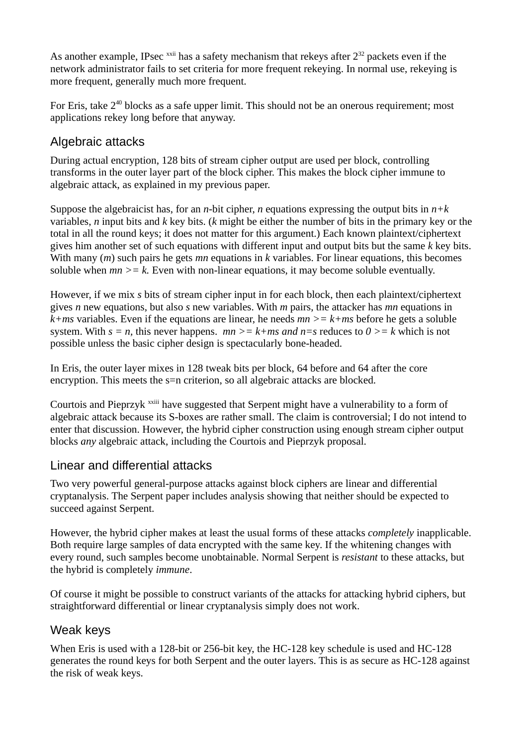As another example, IPsec  $^{xxii}$  $^{xxii}$  $^{xxii}$  has a safety mechanism that rekeys after  $2^{32}$  packets even if the network administrator fails to set criteria for more frequent rekeying. In normal use, rekeying is more frequent, generally much more frequent.

For Eris, take  $2^{40}$  blocks as a safe upper limit. This should not be an onerous requirement; most applications rekey long before that anyway.

## Algebraic attacks

During actual encryption, 128 bits of stream cipher output are used per block, controlling transforms in the outer layer part of the block cipher. This makes the block cipher immune to algebraic attack, as explained in my previous paper.

Suppose the algebraicist has, for an *n*-bit cipher, *n* equations expressing the output bits in *n+k* variables, *n* input bits and *k* key bits. (*k* might be either the number of bits in the primary key or the total in all the round keys; it does not matter for this argument.) Each known plaintext/ciphertext gives him another set of such equations with different input and output bits but the same *k* key bits. With many (*m*) such pairs he gets *mn* equations in *k* variables. For linear equations, this becomes soluble when  $mn \geq k$ . Even with non-linear equations, it may become soluble eventually.

However, if we mix *s* bits of stream cipher input in for each block, then each plaintext/ciphertext gives *n* new equations, but also *s* new variables. With *m* pairs, the attacker has *mn* equations in  $k+m$ s variables. Even if the equations are linear, he needs  $mn \geq k+m$ s before he gets a soluble system. With  $s = n$ , this never happens.  $mn \geq k + ms$  and  $n = s$  reduces to  $0 \geq k$  which is not possible unless the basic cipher design is spectacularly bone-headed.

In Eris, the outer layer mixes in 128 tweak bits per block, 64 before and 64 after the core encryption. This meets the s=n criterion, so all algebraic attacks are blocked.

Courtois and Pieprzyk <sup>[xxiii](#page-10-22)</sup> have suggested that Serpent might have a vulnerability to a form of algebraic attack because its S-boxes are rather small. The claim is controversial; I do not intend to enter that discussion. However, the hybrid cipher construction using enough stream cipher output blocks *any* algebraic attack, including the Courtois and Pieprzyk proposal.

### Linear and differential attacks

Two very powerful general-purpose attacks against block ciphers are linear and differential cryptanalysis. The Serpent paper includes analysis showing that neither should be expected to succeed against Serpent.

However, the hybrid cipher makes at least the usual forms of these attacks *completely* inapplicable. Both require large samples of data encrypted with the same key. If the whitening changes with every round, such samples become unobtainable. Normal Serpent is *resistant* to these attacks, but the hybrid is completely *immune*.

Of course it might be possible to construct variants of the attacks for attacking hybrid ciphers, but straightforward differential or linear cryptanalysis simply does not work.

## Weak keys

When Eris is used with a 128-bit or 256-bit key, the HC-128 key schedule is used and HC-128 generates the round keys for both Serpent and the outer layers. This is as secure as HC-128 against the risk of weak keys.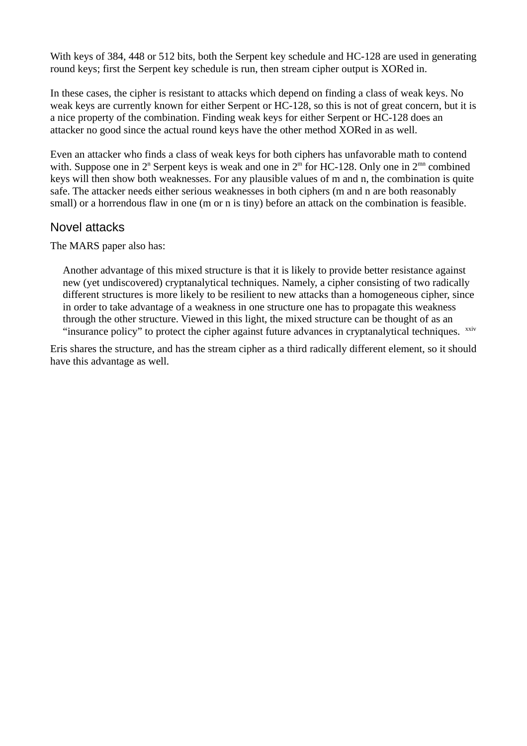With keys of 384, 448 or 512 bits, both the Serpent key schedule and HC-128 are used in generating round keys; first the Serpent key schedule is run, then stream cipher output is XORed in.

In these cases, the cipher is resistant to attacks which depend on finding a class of weak keys. No weak keys are currently known for either Serpent or HC-128, so this is not of great concern, but it is a nice property of the combination. Finding weak keys for either Serpent or HC-128 does an attacker no good since the actual round keys have the other method XORed in as well.

Even an attacker who finds a class of weak keys for both ciphers has unfavorable math to contend with. Suppose one in  $2<sup>n</sup>$  Serpent keys is weak and one in  $2<sup>m</sup>$  for HC-128. Only one in  $2<sup>mn</sup>$  combined keys will then show both weaknesses. For any plausible values of m and n, the combination is quite safe. The attacker needs either serious weaknesses in both ciphers (m and n are both reasonably small) or a horrendous flaw in one (m or n is tiny) before an attack on the combination is feasible.

#### Novel attacks

The MARS paper also has:

Another advantage of this mixed structure is that it is likely to provide better resistance against new (yet undiscovered) cryptanalytical techniques. Namely, a cipher consisting of two radically different structures is more likely to be resilient to new attacks than a homogeneous cipher, since in order to take advantage of a weakness in one structure one has to propagate this weakness through the other structure. Viewed in this light, the mixed structure can be thought of as an "insurance policy" to protect the cipher against future advances in cryptanalytical techniques.  $\frac{x}{x}$ 

Eris shares the structure, and has the stream cipher as a third radically different element, so it should have this advantage as well.